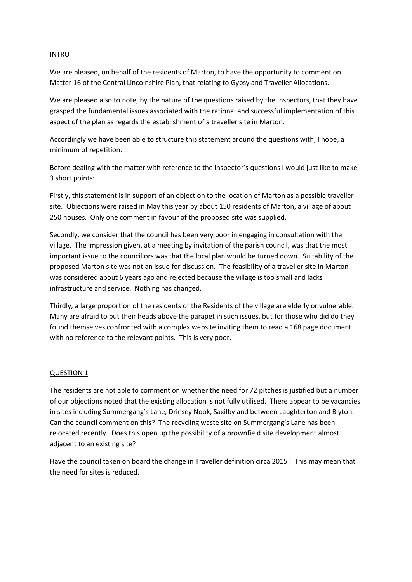## INTRO

We are pleased, on behalf of the residents of Marton, to have the opportunity to comment on Matter 16 of the Central Lincolnshire Plan, that relating to Gypsy and Traveller Allocations.

We are pleased also to note, by the nature of the questions raised by the Inspectors, that they have grasped the fundamental issues associated with the rational and successful implementation of this aspect of the plan as regards the establishment of a traveller site in Marton.

Accordingly we have been able to structure this statement around the questions with, I hope, a minimum of repetition.

Before dealing with the matter with reference to the Inspector's questions I would just like to make 3 short points:

Firstly, this statement is in support of an objection to the location of Marton as a possible traveller site. Objections were raised in May this year by about 150 residents of Marton, a village of about 250 houses. Only one comment in favour of the proposed site was supplied.

Secondly, we consider that the council has been very poor in engaging in consultation with the village. The impression given, at a meeting by invitation of the parish council, was that the most important issue to the councillors was that the local plan would be turned down. Suitability of the proposed Marton site was not an issue for discussion. The feasibility of a traveller site in Marton was considered about 6 years ago and rejected because the village is too small and lacks infrastructure and service. Nothing has changed.

Thirdly, a large proportion of the residents of the Residents of the village are elderly or vulnerable. Many are afraid to put their heads above the parapet in such issues, but for those who did do they found themselves confronted with a complex website inviting them to read a 168 page document with no reference to the relevant points. This is very poor.

## QUESTION 1

The residents are not able to comment on whether the need for 72 pitches is justified but a number of our objections noted that the existing allocation is not fully utilised. There appear to be vacancies in sites including Summergang's Lane, Drinsey Nook, Saxilby and between Laughterton and Blyton. Can the council comment on this? The recycling waste site on Summergang's Lane has been relocated recently. Does this open up the possibility of a brownfield site development almost adiacent to an existing site?

Have the council taken on board the change in Traveller definition circa 2015? This may mean that the need for sites is reduced.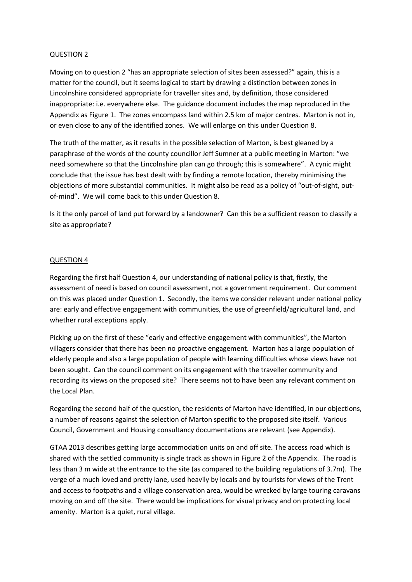## QUESTION 2

Moving on to question 2 "has an appropriate selection of sites been assessed?" again, this is a matter for the council, but it seems logical to start by drawing a distinction between zones in Lincolnshire considered appropriate for traveller sites and, by definition, those considered inappropriate: i.e. everywhere else. The guidance document includes the map reproduced in the Appendix as Figure 1. The zones encompass land within 2.5 km of major centres. Marton is not in, or even close to any of the identified zones. We will enlarge on this under Question 8.

The truth of the matter, as it results in the possible selection of Marton, is best gleaned by a paraphrase of the words of the county councillor Jeff Sumner at a public meeting in Marton: "we need somewhere so that the Lincolnshire plan can go through; this is somewhere". A cynic might conclude that the issue has best dealt with by finding a remote location, thereby minimising the objections of more substantial communities. It might also be read as a policy of "out-of-sight, outof-mind". We will come back to this under Question 8.

Is it the only parcel of land put forward by a landowner? Can this be a sufficient reason to classify a site as appropriate?

# QUESTION 4

Regarding the first half Question 4, our understanding of national policy is that, firstly, the assessment of need is based on council assessment, not a government requirement. Our comment on this was placed under Question 1. Secondly, the items we consider relevant under national policy are: early and effective engagement with communities, the use of greenfield/agricultural land, and whether rural exceptions apply.

Picking up on the first of these "early and effective engagement with communities", the Marton villagers consider that there has been no proactive engagement. Marton has a large population of elderly people and also a large population of people with learning difficulties whose views have not been sought. Can the council comment on its engagement with the traveller community and recording its views on the proposed site? There seems not to have been any relevant comment on the Local Plan.

Regarding the second half of the question, the residents of Marton have identified, in our objections, a number of reasons against the selection of Marton specific to the proposed site itself. Various Council, Government and Housing consultancy documentations are relevant (see Appendix).

GTAA 2013 describes getting large accommodation units on and off site. The access road which is shared with the settled community is single track as shown in Figure 2 of the Appendix. The road is less than 3 m wide at the entrance to the site (as compared to the building regulations of 3.7m). The verge of a much loved and pretty lane, used heavily by locals and by tourists for views of the Trent and access to footpaths and a village conservation area, would be wrecked by large touring caravans moving on and off the site. There would be implications for visual privacy and on protecting local amenity. Marton is a quiet, rural village.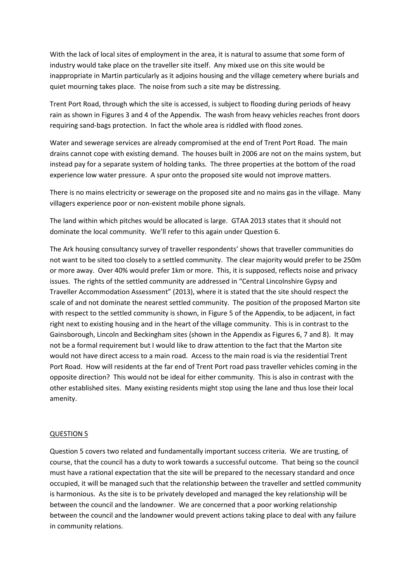With the lack of local sites of employment in the area, it is natural to assume that some form of industry would take place on the traveller site itself. Any mixed use on this site would be inappropriate in Martin particularly as it adjoins housing and the village cemetery where burials and quiet mourning takes place. The noise from such a site may be distressing.

Trent Port Road, through which the site is accessed, is subject to flooding during periods of heavy rain as shown in Figures 3 and 4 of the Appendix. The wash from heavy vehicles reaches front doors requiring sand-bags protection. In fact the whole area is riddled with flood zones.

Water and sewerage services are already compromised at the end of Trent Port Road. The main drains cannot cope with existing demand. The houses built in 2006 are not on the mains system, but instead pay for a separate system of holding tanks. The three properties at the bottom of the road experience low water pressure. A spur onto the proposed site would not improve matters.

There is no mains electricity or sewerage on the proposed site and no mains gas in the village. Many villagers experience poor or non-existent mobile phone signals.

The land within which pitches would be allocated is large. GTAA 2013 states that it should not dominate the local community. We'll refer to this again under Question 6.

The Ark housing consultancy survey of traveller respondents' shows that traveller communities do not want to be sited too closely to a settled community. The clear majority would prefer to be 250m or more away. Over 40% would prefer 1km or more. This, it is supposed, reflects noise and privacy issues. The rights of the settled community are addressed in "Central Lincolnshire Gypsy and Traveller Accommodation Assessment" (2013), where it is stated that the site should respect the scale of and not dominate the nearest settled community. The position of the proposed Marton site with respect to the settled community is shown, in Figure 5 of the Appendix, to be adjacent, in fact right next to existing housing and in the heart of the village community. This is in contrast to the Gainsborough, Lincoln and Beckingham sites (shown in the Appendix as Figures 6, 7 and 8). It may not be a formal requirement but I would like to draw attention to the fact that the Marton site would not have direct access to a main road. Access to the main road is via the residential Trent Port Road. How will residents at the far end of Trent Port road pass traveller vehicles coming in the opposite direction? This would not be ideal for either community. This is also in contrast with the other established sites. Many existing residents might stop using the lane and thus lose their local amenity.

#### QUESTION 5

Question 5 covers two related and fundamentally important success criteria. We are trusting, of course, that the council has a duty to work towards a successful outcome. That being so the council must have a rational expectation that the site will be prepared to the necessary standard and once occupied, it will be managed such that the relationship between the traveller and settled community is harmonious. As the site is to be privately developed and managed the key relationship will be between the council and the landowner. We are concerned that a poor working relationship between the council and the landowner would prevent actions taking place to deal with any failure in community relations.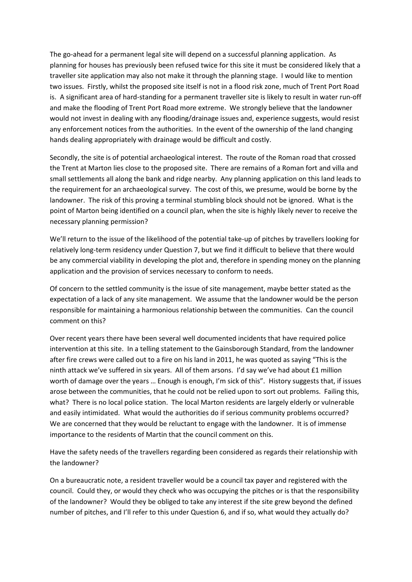The go-ahead for a permanent legal site will depend on a successful planning application. As planning for houses has previously been refused twice for this site it must be considered likely that a traveller site application may also not make it through the planning stage. I would like to mention two issues. Firstly, whilst the proposed site itself is not in a flood risk zone, much of Trent Port Road is. A significant area of hard-standing for a permanent traveller site is likely to result in water run-off and make the flooding of Trent Port Road more extreme. We strongly believe that the landowner would not invest in dealing with any flooding/drainage issues and, experience suggests, would resist any enforcement notices from the authorities. In the event of the ownership of the land changing hands dealing appropriately with drainage would be difficult and costly.

Secondly, the site is of potential archaeological interest. The route of the Roman road that crossed the Trent at Marton lies close to the proposed site. There are remains of a Roman fort and villa and small settlements all along the bank and ridge nearby. Any planning application on this land leads to the requirement for an archaeological survey. The cost of this, we presume, would be borne by the landowner. The risk of this proving a terminal stumbling block should not be ignored. What is the point of Marton being identified on a council plan, when the site is highly likely never to receive the necessary planning permission?

We'll return to the issue of the likelihood of the potential take-up of pitches by travellers looking for relatively long-term residency under Question 7, but we find it difficult to believe that there would be any commercial viability in developing the plot and, therefore in spending money on the planning application and the provision of services necessary to conform to needs.

Of concern to the settled community is the issue of site management, maybe better stated as the expectation of a lack of any site management. We assume that the landowner would be the person responsible for maintaining a harmonious relationship between the communities. Can the council comment on this?

Over recent years there have been several well documented incidents that have required police intervention at this site. In a telling statement to the Gainsborough Standard, from the landowner after fire crews were called out to a fire on his land in 2011, he was quoted as saying "This is the ninth attack we've suffered in six years. All of them arsons. I'd say we've had about £1 million worth of damage over the years … Enough is enough, I'm sick of this". History suggests that, if issues arose between the communities, that he could not be relied upon to sort out problems. Failing this, what? There is no local police station. The local Marton residents are largely elderly or vulnerable and easily intimidated. What would the authorities do if serious community problems occurred? We are concerned that they would be reluctant to engage with the landowner. It is of immense importance to the residents of Martin that the council comment on this.

Have the safety needs of the travellers regarding been considered as regards their relationship with the landowner?

On a bureaucratic note, a resident traveller would be a council tax payer and registered with the council. Could they, or would they check who was occupying the pitches or is that the responsibility of the landowner? Would they be obliged to take any interest if the site grew beyond the defined number of pitches, and I'll refer to this under Question 6, and if so, what would they actually do?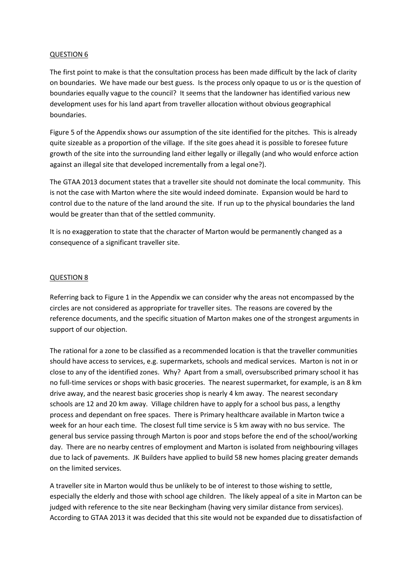### QUESTION 6

The first point to make is that the consultation process has been made difficult by the lack of clarity on boundaries. We have made our best guess. Is the process only opaque to us or is the question of boundaries equally vague to the council? It seems that the landowner has identified various new development uses for his land apart from traveller allocation without obvious geographical boundaries.

Figure 5 of the Appendix shows our assumption of the site identified for the pitches. This is already quite sizeable as a proportion of the village. If the site goes ahead it is possible to foresee future growth of the site into the surrounding land either legally or illegally (and who would enforce action against an illegal site that developed incrementally from a legal one?).

The GTAA 2013 document states that a traveller site should not dominate the local community. This is not the case with Marton where the site would indeed dominate. Expansion would be hard to control due to the nature of the land around the site. If run up to the physical boundaries the land would be greater than that of the settled community.

It is no exaggeration to state that the character of Marton would be permanently changed as a consequence of a significant traveller site.

### QUESTION 8

Referring back to Figure 1 in the Appendix we can consider why the areas not encompassed by the circles are not considered as appropriate for traveller sites. The reasons are covered by the reference documents, and the specific situation of Marton makes one of the strongest arguments in support of our objection.

The rational for a zone to be classified as a recommended location is that the traveller communities should have access to services, e.g. supermarkets, schools and medical services. Marton is not in or close to any of the identified zones. Why? Apart from a small, oversubscribed primary school it has no full-time services or shops with basic groceries. The nearest supermarket, for example, is an 8 km drive away, and the nearest basic groceries shop is nearly 4 km away. The nearest secondary schools are 12 and 20 km away. Village children have to apply for a school bus pass, a lengthy process and dependant on free spaces. There is Primary healthcare available in Marton twice a week for an hour each time. The closest full time service is 5 km away with no bus service. The general bus service passing through Marton is poor and stops before the end of the school/working day. There are no nearby centres of employment and Marton is isolated from neighbouring villages due to lack of pavements. JK Builders have applied to build 58 new homes placing greater demands on the limited services.

A traveller site in Marton would thus be unlikely to be of interest to those wishing to settle, especially the elderly and those with school age children. The likely appeal of a site in Marton can be judged with reference to the site near Beckingham (having very similar distance from services). According to GTAA 2013 it was decided that this site would not be expanded due to dissatisfaction of